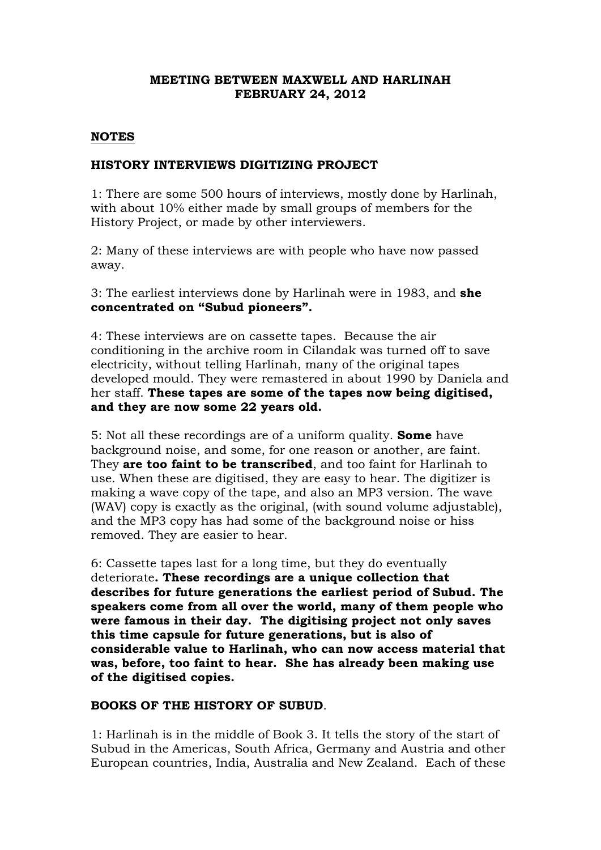# **MEETING BETWEEN MAXWELL AND HARLINAH FEBRUARY 24, 2012**

## **NOTES**

## **HISTORY INTERVIEWS DIGITIZING PROJECT**

1: There are some 500 hours of interviews, mostly done by Harlinah, with about 10% either made by small groups of members for the History Project, or made by other interviewers.

2: Many of these interviews are with people who have now passed away.

3: The earliest interviews done by Harlinah were in 1983, and **she concentrated on "Subud pioneers".**

4: These interviews are on cassette tapes. Because the air conditioning in the archive room in Cilandak was turned off to save electricity, without telling Harlinah, many of the original tapes developed mould. They were remastered in about 1990 by Daniela and her staff. **These tapes are some of the tapes now being digitised, and they are now some 22 years old.**

5: Not all these recordings are of a uniform quality. **Some** have background noise, and some, for one reason or another, are faint. They **are too faint to be transcribed**, and too faint for Harlinah to use. When these are digitised, they are easy to hear. The digitizer is making a wave copy of the tape, and also an MP3 version. The wave (WAV) copy is exactly as the original, (with sound volume adjustable), and the MP3 copy has had some of the background noise or hiss removed. They are easier to hear.

6: Cassette tapes last for a long time, but they do eventually deteriorate**. These recordings are a unique collection that describes for future generations the earliest period of Subud. The speakers come from all over the world, many of them people who were famous in their day. The digitising project not only saves this time capsule for future generations, but is also of considerable value to Harlinah, who can now access material that was, before, too faint to hear. She has already been making use of the digitised copies.**

# **BOOKS OF THE HISTORY OF SUBUD**.

1: Harlinah is in the middle of Book 3. It tells the story of the start of Subud in the Americas, South Africa, Germany and Austria and other European countries, India, Australia and New Zealand. Each of these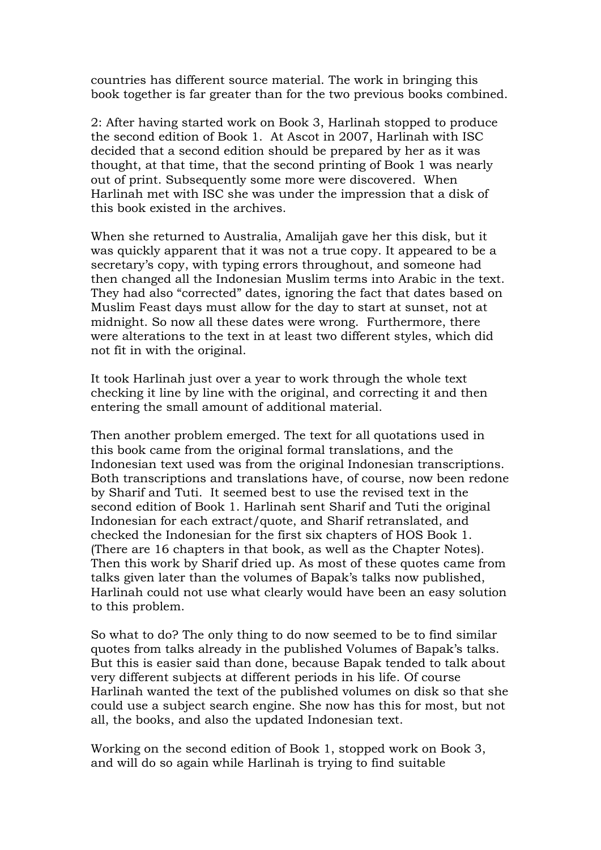countries has different source material. The work in bringing this book together is far greater than for the two previous books combined.

2: After having started work on Book 3, Harlinah stopped to produce the second edition of Book 1. At Ascot in 2007, Harlinah with ISC decided that a second edition should be prepared by her as it was thought, at that time, that the second printing of Book 1 was nearly out of print. Subsequently some more were discovered. When Harlinah met with ISC she was under the impression that a disk of this book existed in the archives.

When she returned to Australia, Amalijah gave her this disk, but it was quickly apparent that it was not a true copy. It appeared to be a secretary's copy, with typing errors throughout, and someone had then changed all the Indonesian Muslim terms into Arabic in the text. They had also "corrected" dates, ignoring the fact that dates based on Muslim Feast days must allow for the day to start at sunset, not at midnight. So now all these dates were wrong. Furthermore, there were alterations to the text in at least two different styles, which did not fit in with the original.

It took Harlinah just over a year to work through the whole text checking it line by line with the original, and correcting it and then entering the small amount of additional material.

Then another problem emerged. The text for all quotations used in this book came from the original formal translations, and the Indonesian text used was from the original Indonesian transcriptions. Both transcriptions and translations have, of course, now been redone by Sharif and Tuti. It seemed best to use the revised text in the second edition of Book 1. Harlinah sent Sharif and Tuti the original Indonesian for each extract/quote, and Sharif retranslated, and checked the Indonesian for the first six chapters of HOS Book 1. (There are 16 chapters in that book, as well as the Chapter Notes). Then this work by Sharif dried up. As most of these quotes came from talks given later than the volumes of Bapak's talks now published, Harlinah could not use what clearly would have been an easy solution to this problem.

So what to do? The only thing to do now seemed to be to find similar quotes from talks already in the published Volumes of Bapak's talks. But this is easier said than done, because Bapak tended to talk about very different subjects at different periods in his life. Of course Harlinah wanted the text of the published volumes on disk so that she could use a subject search engine. She now has this for most, but not all, the books, and also the updated Indonesian text.

Working on the second edition of Book 1, stopped work on Book 3, and will do so again while Harlinah is trying to find suitable